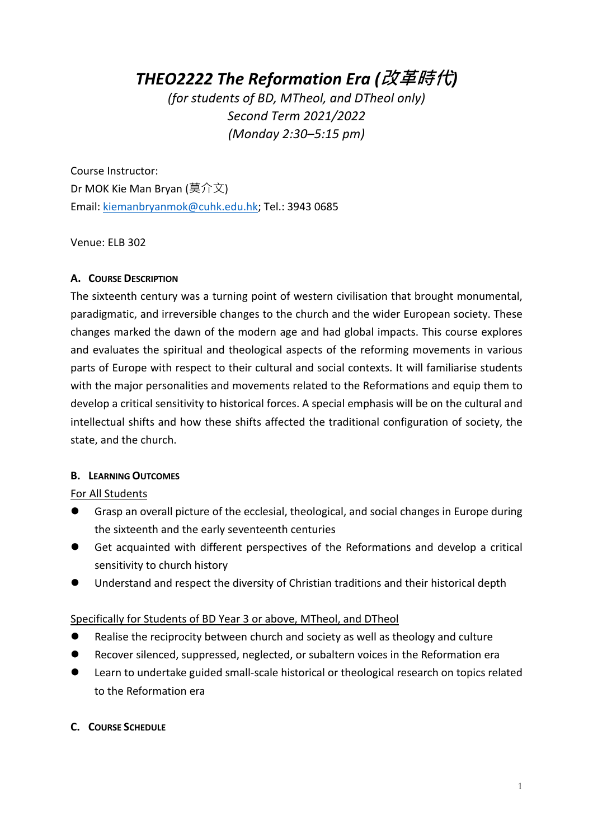# *THEO2222 The Reformation Era (***改革時代***)*

*(for students of BD, MTheol, and DTheol only) Second Term 2021/2022 (Monday 2:30–5:15 pm)* 

Course Instructor: Dr MOK Kie Man Bryan (莫介文) Email: kiemanbryanmok@cuhk.edu.hk; Tel.: 3943 0685

Venue: ELB 302

### **A. COURSE DESCRIPTION**

The sixteenth century was a turning point of western civilisation that brought monumental, paradigmatic, and irreversible changes to the church and the wider European society. These changes marked the dawn of the modern age and had global impacts. This course explores and evaluates the spiritual and theological aspects of the reforming movements in various parts of Europe with respect to their cultural and social contexts. It will familiarise students with the major personalities and movements related to the Reformations and equip them to develop a critical sensitivity to historical forces. A special emphasis will be on the cultural and intellectual shifts and how these shifts affected the traditional configuration of society, the state, and the church.

### **B. LEARNING OUTCOMES**

For All Students

- l Grasp an overall picture of the ecclesial, theological, and social changes in Europe during the sixteenth and the early seventeenth centuries
- l Get acquainted with different perspectives of the Reformations and develop a critical sensitivity to church history
- l Understand and respect the diversity of Christian traditions and their historical depth

### Specifically for Students of BD Year 3 or above, MTheol, and DTheol

- **•** Realise the reciprocity between church and society as well as theology and culture
- **Recover silenced, suppressed, neglected, or subaltern voices in the Reformation era**
- l Learn to undertake guided small-scale historical or theological research on topics related to the Reformation era

### **C. COURSE SCHEDULE**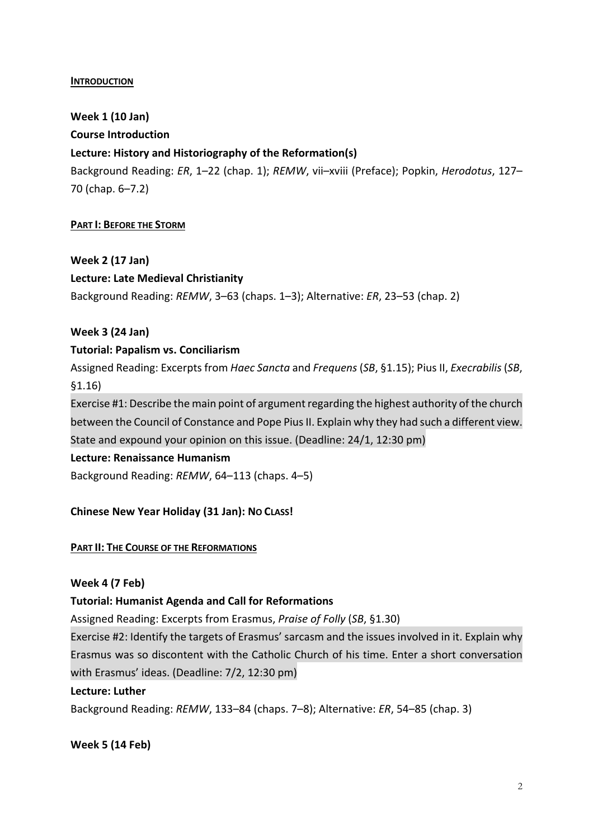### **INTRODUCTION**

**Week 1 (10 Jan) Course Introduction Lecture: History and Historiography of the Reformation(s)** Background Reading: *ER*, 1–22 (chap. 1); *REMW*, vii–xviii (Preface); Popkin, *Herodotus*, 127–

70 (chap. 6–7.2)

### **PART I: BEFORE THE STORM**

**Week 2 (17 Jan)**

### **Lecture: Late Medieval Christianity**

Background Reading: *REMW*, 3–63 (chaps. 1–3); Alternative: *ER*, 23–53 (chap. 2)

### **Week 3 (24 Jan)**

### **Tutorial: Papalism vs. Conciliarism**

Assigned Reading: Excerpts from *Haec Sancta* and *Frequens* (*SB*, §1.15); Pius II, *Execrabilis* (*SB*, §1.16)

Exercise #1: Describe the main point of argument regarding the highest authority of the church between the Council of Constance and Pope Pius II. Explain why they had such a different view. State and expound your opinion on this issue. (Deadline: 24/1, 12:30 pm)

### **Lecture: Renaissance Humanism**

Background Reading: *REMW*, 64–113 (chaps. 4–5)

### **Chinese New Year Holiday (31 Jan): NO CLASS!**

### **PART II: THE COURSE OF THE REFORMATIONS**

### **Week 4 (7 Feb)**

### **Tutorial: Humanist Agenda and Call for Reformations**

Assigned Reading: Excerpts from Erasmus, *Praise of Folly* (*SB*, §1.30)

Exercise #2: Identify the targets of Erasmus' sarcasm and the issues involved in it. Explain why Erasmus was so discontent with the Catholic Church of his time. Enter a short conversation with Erasmus' ideas. (Deadline: 7/2, 12:30 pm)

### **Lecture: Luther**

Background Reading: *REMW*, 133–84 (chaps. 7–8); Alternative: *ER*, 54–85 (chap. 3)

**Week 5 (14 Feb)**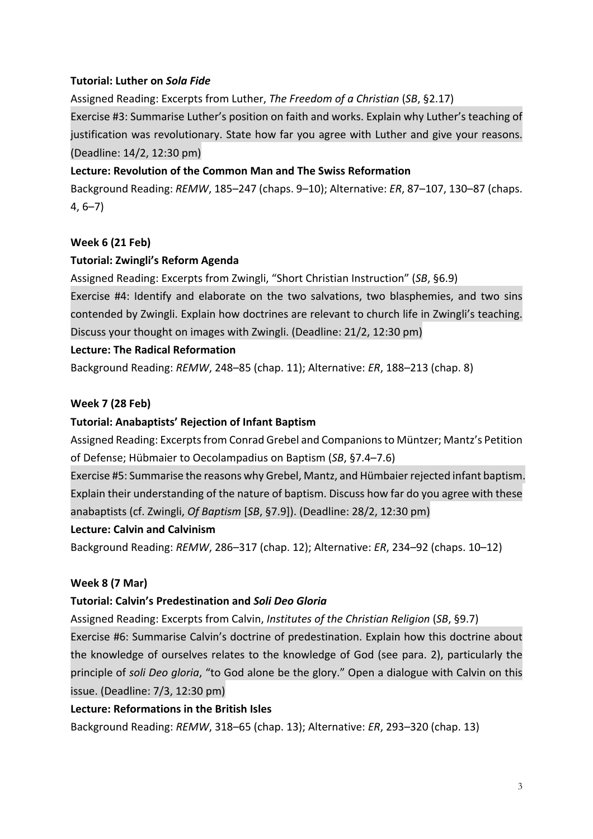# **Tutorial: Luther on** *Sola Fide*

Assigned Reading: Excerpts from Luther, *The Freedom of a Christian* (*SB*, §2.17)

Exercise #3: Summarise Luther's position on faith and works. Explain why Luther's teaching of justification was revolutionary. State how far you agree with Luther and give your reasons. (Deadline: 14/2, 12:30 pm)

# **Lecture: Revolution of the Common Man and The Swiss Reformation**

Background Reading: *REMW*, 185–247 (chaps. 9–10); Alternative: *ER*, 87–107, 130–87 (chaps. 4, 6–7)

# **Week 6 (21 Feb)**

### **Tutorial: Zwingli's Reform Agenda**

Assigned Reading: Excerpts from Zwingli, "Short Christian Instruction" (*SB*, §6.9)

Exercise #4: Identify and elaborate on the two salvations, two blasphemies, and two sins contended by Zwingli. Explain how doctrines are relevant to church life in Zwingli's teaching. Discuss your thought on images with Zwingli. (Deadline: 21/2, 12:30 pm)

### **Lecture: The Radical Reformation**

Background Reading: *REMW*, 248–85 (chap. 11); Alternative: *ER*, 188–213 (chap. 8)

### **Week 7 (28 Feb)**

### **Tutorial: Anabaptists' Rejection of Infant Baptism**

Assigned Reading: Excerpts from Conrad Grebel and Companions to Müntzer; Mantz's Petition of Defense; Hübmaier to Oecolampadius on Baptism (*SB*, §7.4–7.6)

Exercise #5: Summarise the reasons why Grebel, Mantz, and Hümbaier rejected infant baptism. Explain their understanding of the nature of baptism. Discuss how far do you agree with these anabaptists (cf. Zwingli, *Of Baptism* [*SB*, §7.9]). (Deadline: 28/2, 12:30 pm)

### **Lecture: Calvin and Calvinism**

Background Reading: *REMW*, 286–317 (chap. 12); Alternative: *ER*, 234–92 (chaps. 10–12)

### **Week 8 (7 Mar)**

### **Tutorial: Calvin's Predestination and** *Soli Deo Gloria*

Assigned Reading: Excerpts from Calvin, *Institutes of the Christian Religion* (*SB*, §9.7)

Exercise #6: Summarise Calvin's doctrine of predestination. Explain how this doctrine about the knowledge of ourselves relates to the knowledge of God (see para. 2), particularly the principle of *soli Deo gloria*, "to God alone be the glory." Open a dialogue with Calvin on this issue. (Deadline: 7/3, 12:30 pm)

### **Lecture: Reformations in the British Isles**

Background Reading: *REMW*, 318–65 (chap. 13); Alternative: *ER*, 293–320 (chap. 13)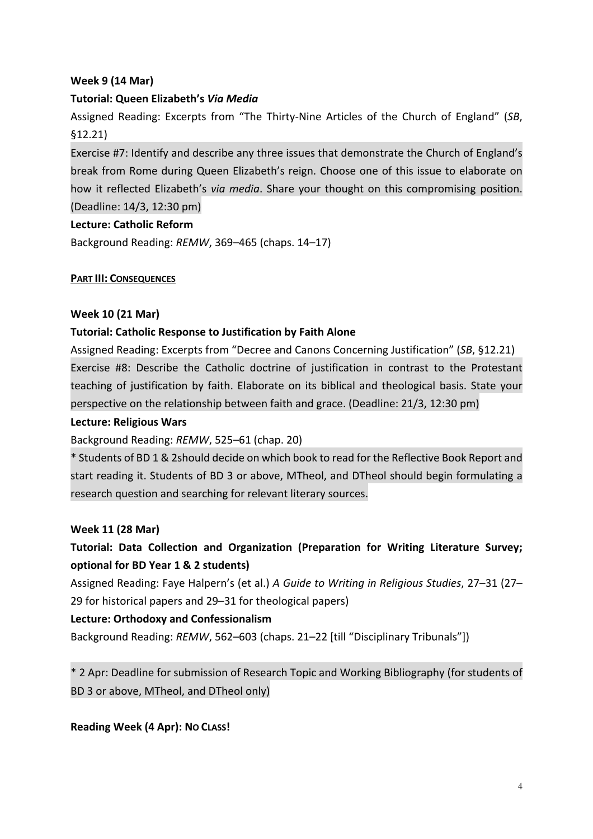# **Week 9 (14 Mar)**

# **Tutorial: Queen Elizabeth's** *Via Media*

Assigned Reading: Excerpts from "The Thirty-Nine Articles of the Church of England" (*SB*, §12.21)

Exercise #7: Identify and describe any three issues that demonstrate the Church of England's break from Rome during Queen Elizabeth's reign. Choose one of this issue to elaborate on how it reflected Elizabeth's *via media*. Share your thought on this compromising position. (Deadline: 14/3, 12:30 pm)

### **Lecture: Catholic Reform**

Background Reading: *REMW*, 369–465 (chaps. 14–17)

### **PART III: CONSEQUENCES**

### **Week 10 (21 Mar)**

### **Tutorial: Catholic Response to Justification by Faith Alone**

Assigned Reading: Excerpts from "Decree and Canons Concerning Justification" (*SB*, §12.21) Exercise #8: Describe the Catholic doctrine of justification in contrast to the Protestant teaching of justification by faith. Elaborate on its biblical and theological basis. State your perspective on the relationship between faith and grace. (Deadline: 21/3, 12:30 pm)

### **Lecture: Religious Wars**

Background Reading: *REMW*, 525–61 (chap. 20)

\* Students of BD 1 & 2should decide on which book to read for the Reflective Book Report and start reading it. Students of BD 3 or above, MTheol, and DTheol should begin formulating a research question and searching for relevant literary sources.

### **Week 11 (28 Mar)**

**Tutorial: Data Collection and Organization (Preparation for Writing Literature Survey; optional for BD Year 1 & 2 students)**

Assigned Reading: Faye Halpern's (et al.) *A Guide to Writing in Religious Studies*, 27–31 (27– 29 for historical papers and 29–31 for theological papers)

### **Lecture: Orthodoxy and Confessionalism**

Background Reading: *REMW*, 562–603 (chaps. 21–22 [till "Disciplinary Tribunals"])

\* 2 Apr: Deadline for submission of Research Topic and Working Bibliography (for students of BD 3 or above, MTheol, and DTheol only)

**Reading Week (4 Apr): NO CLASS!**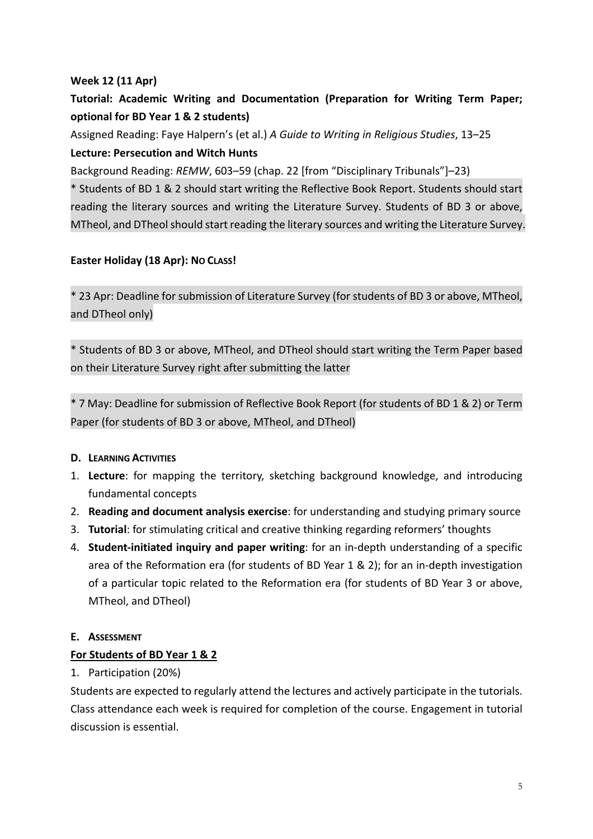# **Week 12 (11 Apr)**

# **Tutorial: Academic Writing and Documentation (Preparation for Writing Term Paper; optional for BD Year 1 & 2 students)**

Assigned Reading: Faye Halpern's (et al.) *A Guide to Writing in Religious Studies*, 13–25 **Lecture: Persecution and Witch Hunts**

Background Reading: *REMW*, 603–59 (chap. 22 [from "Disciplinary Tribunals"]–23)

\* Students of BD 1 & 2 should start writing the Reflective Book Report. Students should start reading the literary sources and writing the Literature Survey. Students of BD 3 or above, MTheol, and DTheol should start reading the literary sources and writing the Literature Survey.

# **Easter Holiday (18 Apr): NO CLASS!**

\* 23 Apr: Deadline for submission of Literature Survey (for students of BD 3 or above, MTheol, and DTheol only)

\* Students of BD 3 or above, MTheol, and DTheol should start writing the Term Paper based on their Literature Survey right after submitting the latter

\* 7 May: Deadline for submission of Reflective Book Report (for students of BD 1 & 2) or Term Paper (for students of BD 3 or above, MTheol, and DTheol)

### **D. LEARNING ACTIVITIES**

- 1. **Lecture**: for mapping the territory, sketching background knowledge, and introducing fundamental concepts
- 2. **Reading and document analysis exercise**: for understanding and studying primary source
- 3. **Tutorial**: for stimulating critical and creative thinking regarding reformers' thoughts
- 4. **Student-initiated inquiry and paper writing**: for an in-depth understanding of a specific area of the Reformation era (for students of BD Year 1 & 2); for an in-depth investigation of a particular topic related to the Reformation era (for students of BD Year 3 or above, MTheol, and DTheol)

### **E. ASSESSMENT**

### **For Students of BD Year 1 & 2**

1. Participation (20%)

Students are expected to regularly attend the lectures and actively participate in the tutorials. Class attendance each week is required for completion of the course. Engagement in tutorial discussion is essential.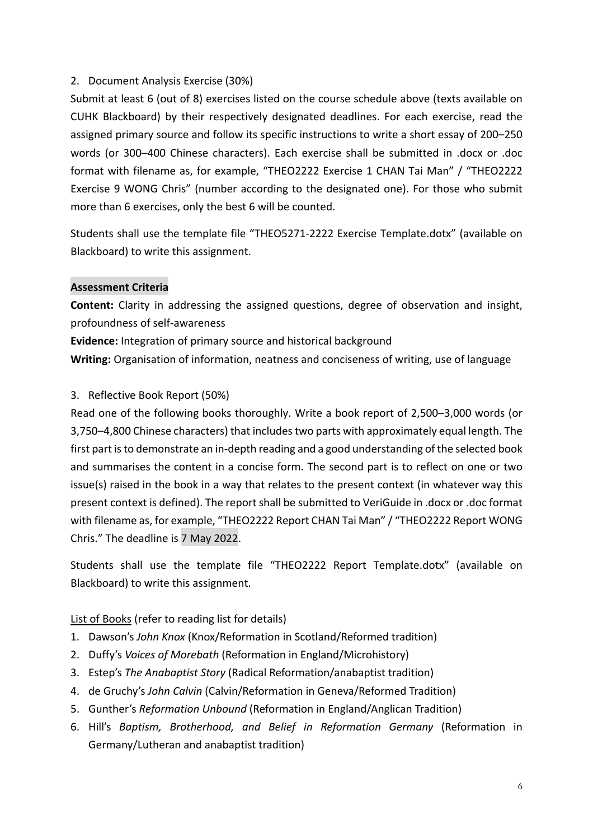# 2. Document Analysis Exercise (30%)

Submit at least 6 (out of 8) exercises listed on the course schedule above (texts available on CUHK Blackboard) by their respectively designated deadlines. For each exercise, read the assigned primary source and follow its specific instructions to write a short essay of 200–250 words (or 300–400 Chinese characters). Each exercise shall be submitted in .docx or .doc format with filename as, for example, "THEO2222 Exercise 1 CHAN Tai Man" / "THEO2222 Exercise 9 WONG Chris" (number according to the designated one). For those who submit more than 6 exercises, only the best 6 will be counted.

Students shall use the template file "THEO5271-2222 Exercise Template.dotx" (available on Blackboard) to write this assignment.

### **Assessment Criteria**

**Content:** Clarity in addressing the assigned questions, degree of observation and insight, profoundness of self-awareness

**Evidence:** Integration of primary source and historical background

**Writing:** Organisation of information, neatness and conciseness of writing, use of language

# 3. Reflective Book Report (50%)

Read one of the following books thoroughly. Write a book report of 2,500–3,000 words (or 3,750–4,800 Chinese characters) that includes two parts with approximately equal length. The first part is to demonstrate an in-depth reading and a good understanding of the selected book and summarises the content in a concise form. The second part is to reflect on one or two issue(s) raised in the book in a way that relates to the present context (in whatever way this present context is defined). The report shall be submitted to VeriGuide in .docx or .doc format with filename as, for example, "THEO2222 Report CHAN Tai Man" / "THEO2222 Report WONG Chris." The deadline is 7 May 2022.

Students shall use the template file "THEO2222 Report Template.dotx" (available on Blackboard) to write this assignment.

# List of Books (refer to reading list for details)

- 1. Dawson's *John Knox* (Knox/Reformation in Scotland/Reformed tradition)
- 2. Duffy's *Voices of Morebath* (Reformation in England/Microhistory)
- 3. Estep's *The Anabaptist Story* (Radical Reformation/anabaptist tradition)
- 4. de Gruchy's *John Calvin* (Calvin/Reformation in Geneva/Reformed Tradition)
- 5. Gunther's *Reformation Unbound* (Reformation in England/Anglican Tradition)
- 6. Hill's *Baptism, Brotherhood, and Belief in Reformation Germany* (Reformation in Germany/Lutheran and anabaptist tradition)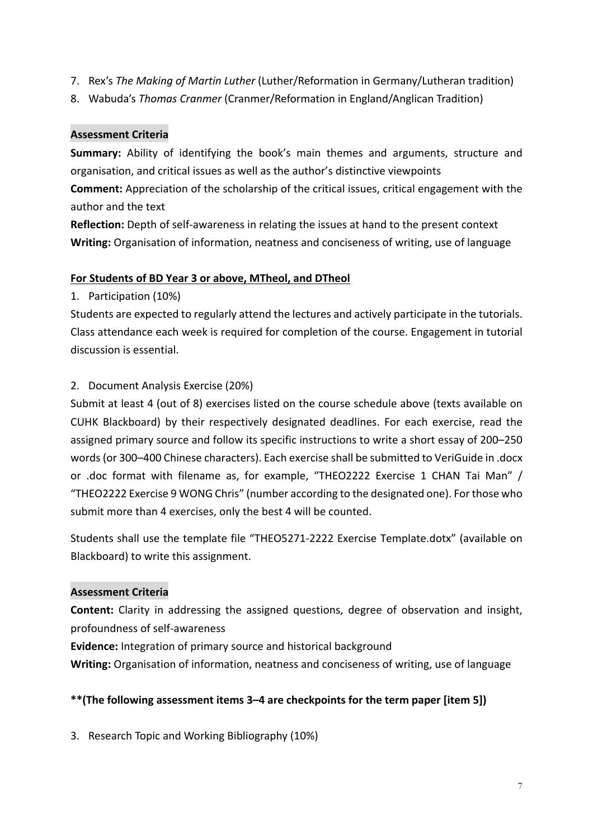- 7. Rex's *The Making of Martin Luther* (Luther/Reformation in Germany/Lutheran tradition)
- 8. Wabuda's *Thomas Cranmer* (Cranmer/Reformation in England/Anglican Tradition)

# **Assessment Criteria**

**Summary:** Ability of identifying the book's main themes and arguments, structure and organisation, and critical issues as well as the author's distinctive viewpoints

**Comment:** Appreciation of the scholarship of the critical issues, critical engagement with the author and the text

**Reflection:** Depth of self-awareness in relating the issues at hand to the present context **Writing:** Organisation of information, neatness and conciseness of writing, use of language

### **For Students of BD Year 3 or above, MTheol, and DTheol**

1. Participation (10%)

Students are expected to regularly attend the lectures and actively participate in the tutorials. Class attendance each week is required for completion of the course. Engagement in tutorial discussion is essential.

### 2. Document Analysis Exercise (20%)

Submit at least 4 (out of 8) exercises listed on the course schedule above (texts available on CUHK Blackboard) by their respectively designated deadlines. For each exercise, read the assigned primary source and follow its specific instructions to write a short essay of 200–250 words (or 300–400 Chinese characters). Each exercise shall be submitted to VeriGuide in .docx or .doc format with filename as, for example, "THEO2222 Exercise 1 CHAN Tai Man" / "THEO2222 Exercise 9 WONG Chris" (number according to the designated one). For those who submit more than 4 exercises, only the best 4 will be counted.

Students shall use the template file "THEO5271-2222 Exercise Template.dotx" (available on Blackboard) to write this assignment.

### **Assessment Criteria**

**Content:** Clarity in addressing the assigned questions, degree of observation and insight, profoundness of self-awareness

**Evidence:** Integration of primary source and historical background

**Writing:** Organisation of information, neatness and conciseness of writing, use of language

### **\*\*(The following assessment items 3–4 are checkpoints for the term paper [item 5])**

3. Research Topic and Working Bibliography (10%)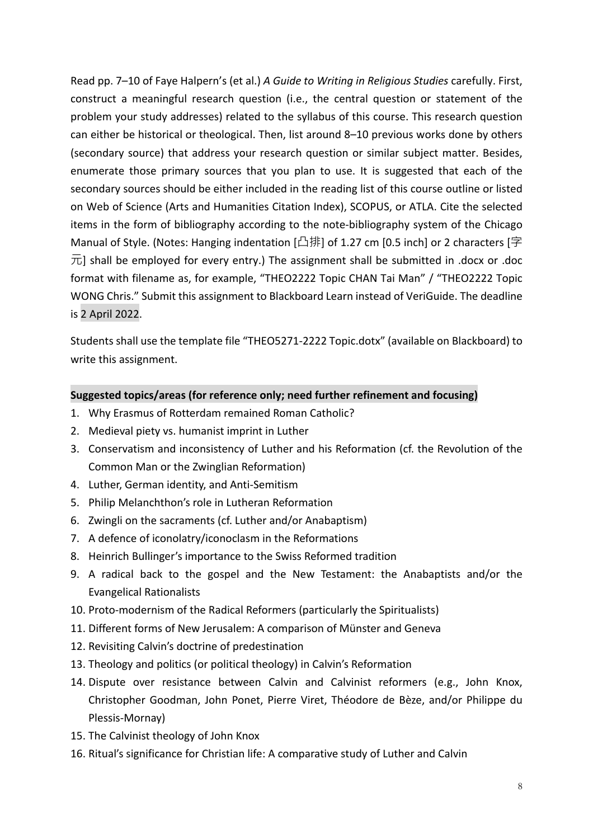Read pp. 7–10 of Faye Halpern's (et al.) *A Guide to Writing in Religious Studies* carefully. First, construct a meaningful research question (i.e., the central question or statement of the problem your study addresses) related to the syllabus of this course. This research question can either be historical or theological. Then, list around 8–10 previous works done by others (secondary source) that address your research question or similar subject matter. Besides, enumerate those primary sources that you plan to use. It is suggested that each of the secondary sources should be either included in the reading list of this course outline or listed on Web of Science (Arts and Humanities Citation Index), SCOPUS, or ATLA. Cite the selected items in the form of bibliography according to the note-bibliography system of the Chicago Manual of Style. (Notes: Hanging indentation [凸排] of 1.27 cm [0.5 inch] or 2 characters [字  $\overline{\pi}$ ] shall be employed for every entry.) The assignment shall be submitted in .docx or .doc format with filename as, for example, "THEO2222 Topic CHAN Tai Man" / "THEO2222 Topic WONG Chris." Submit this assignment to Blackboard Learn instead of VeriGuide. The deadline is 2 April 2022.

Students shall use the template file "THEO5271-2222 Topic.dotx" (available on Blackboard) to write this assignment.

# **Suggested topics/areas (for reference only; need further refinement and focusing)**

- 1. Why Erasmus of Rotterdam remained Roman Catholic?
- 2. Medieval piety vs. humanist imprint in Luther
- 3. Conservatism and inconsistency of Luther and his Reformation (cf. the Revolution of the Common Man or the Zwinglian Reformation)
- 4. Luther, German identity, and Anti-Semitism
- 5. Philip Melanchthon's role in Lutheran Reformation
- 6. Zwingli on the sacraments (cf. Luther and/or Anabaptism)
- 7. A defence of iconolatry/iconoclasm in the Reformations
- 8. Heinrich Bullinger's importance to the Swiss Reformed tradition
- 9. A radical back to the gospel and the New Testament: the Anabaptists and/or the Evangelical Rationalists
- 10. Proto-modernism of the Radical Reformers (particularly the Spiritualists)
- 11. Different forms of New Jerusalem: A comparison of Münster and Geneva
- 12. Revisiting Calvin's doctrine of predestination
- 13. Theology and politics (or political theology) in Calvin's Reformation
- 14. Dispute over resistance between Calvin and Calvinist reformers (e.g., John Knox, Christopher Goodman, John Ponet, Pierre Viret, Théodore de Bèze, and/or Philippe du Plessis-Mornay)
- 15. The Calvinist theology of John Knox
- 16. Ritual's significance for Christian life: A comparative study of Luther and Calvin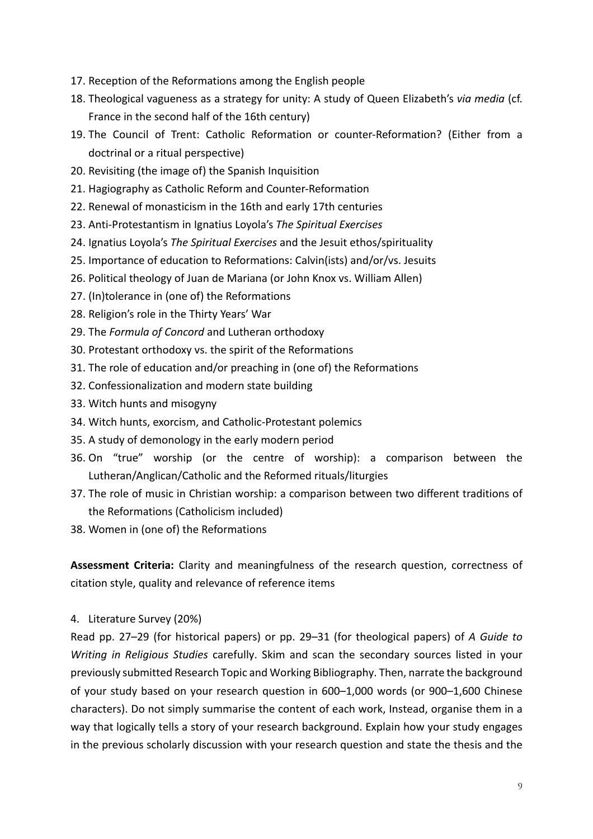- 17. Reception of the Reformations among the English people
- 18. Theological vagueness as a strategy for unity: A study of Queen Elizabeth's *via media* (cf. France in the second half of the 16th century)
- 19. The Council of Trent: Catholic Reformation or counter-Reformation? (Either from a doctrinal or a ritual perspective)
- 20. Revisiting (the image of) the Spanish Inquisition
- 21. Hagiography as Catholic Reform and Counter-Reformation
- 22. Renewal of monasticism in the 16th and early 17th centuries
- 23. Anti-Protestantism in Ignatius Loyola's *The Spiritual Exercises*
- 24. Ignatius Loyola's *The Spiritual Exercises* and the Jesuit ethos/spirituality
- 25. Importance of education to Reformations: Calvin(ists) and/or/vs. Jesuits
- 26. Political theology of Juan de Mariana (or John Knox vs. William Allen)
- 27. (In)tolerance in (one of) the Reformations
- 28. Religion's role in the Thirty Years' War
- 29. The *Formula of Concord* and Lutheran orthodoxy
- 30. Protestant orthodoxy vs. the spirit of the Reformations
- 31. The role of education and/or preaching in (one of) the Reformations
- 32. Confessionalization and modern state building
- 33. Witch hunts and misogyny
- 34. Witch hunts, exorcism, and Catholic-Protestant polemics
- 35. A study of demonology in the early modern period
- 36. On "true" worship (or the centre of worship): a comparison between the Lutheran/Anglican/Catholic and the Reformed rituals/liturgies
- 37. The role of music in Christian worship: a comparison between two different traditions of the Reformations (Catholicism included)
- 38. Women in (one of) the Reformations

**Assessment Criteria:** Clarity and meaningfulness of the research question, correctness of citation style, quality and relevance of reference items

4. Literature Survey (20%)

Read pp. 27–29 (for historical papers) or pp. 29–31 (for theological papers) of *A Guide to Writing in Religious Studies* carefully. Skim and scan the secondary sources listed in your previously submitted Research Topic and Working Bibliography. Then, narrate the background of your study based on your research question in 600–1,000 words (or 900–1,600 Chinese characters). Do not simply summarise the content of each work, Instead, organise them in a way that logically tells a story of your research background. Explain how your study engages in the previous scholarly discussion with your research question and state the thesis and the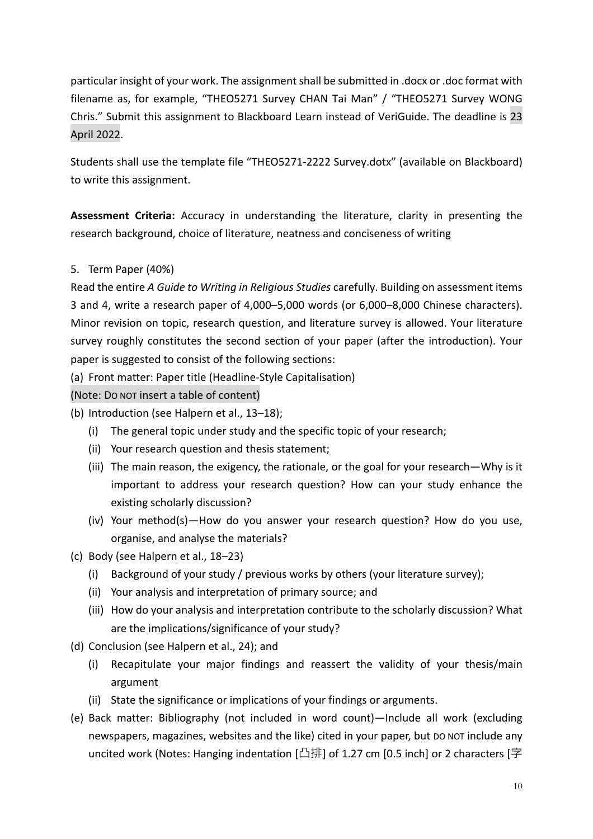particular insight of your work. The assignment shall be submitted in .docx or .doc format with filename as, for example, "THEO5271 Survey CHAN Tai Man" / "THEO5271 Survey WONG Chris." Submit this assignment to Blackboard Learn instead of VeriGuide. The deadline is 23 April 2022.

Students shall use the template file "THEO5271-2222 Survey.dotx" (available on Blackboard) to write this assignment.

**Assessment Criteria:** Accuracy in understanding the literature, clarity in presenting the research background, choice of literature, neatness and conciseness of writing

### 5. Term Paper (40%)

Read the entire *A Guide to Writing in Religious Studies* carefully. Building on assessment items 3 and 4, write a research paper of 4,000–5,000 words (or 6,000–8,000 Chinese characters). Minor revision on topic, research question, and literature survey is allowed. Your literature survey roughly constitutes the second section of your paper (after the introduction). Your paper is suggested to consist of the following sections:

(a) Front matter: Paper title (Headline-Style Capitalisation)

(Note: DO NOT insert a table of content)

- (b) Introduction (see Halpern et al., 13–18);
	- (i) The general topic under study and the specific topic of your research;
	- (ii) Your research question and thesis statement;
	- (iii) The main reason, the exigency, the rationale, or the goal for your research—Why is it important to address your research question? How can your study enhance the existing scholarly discussion?
	- (iv) Your method(s)—How do you answer your research question? How do you use, organise, and analyse the materials?
- (c) Body (see Halpern et al., 18–23)
	- (i) Background of your study / previous works by others (your literature survey);
	- (ii) Your analysis and interpretation of primary source; and
	- (iii) How do your analysis and interpretation contribute to the scholarly discussion? What are the implications/significance of your study?
- (d) Conclusion (see Halpern et al., 24); and
	- (i) Recapitulate your major findings and reassert the validity of your thesis/main argument
	- (ii) State the significance or implications of your findings or arguments.
- (e) Back matter: Bibliography (not included in word count)—Include all work (excluding newspapers, magazines, websites and the like) cited in your paper, but DO NOT include any uncited work (Notes: Hanging indentation  $\left[\Box \ddot{\ddot{\pi}}\right]$  of 1.27 cm [0.5 inch] or 2 characters  $\left[\dot{\mathcal{F}}\right]$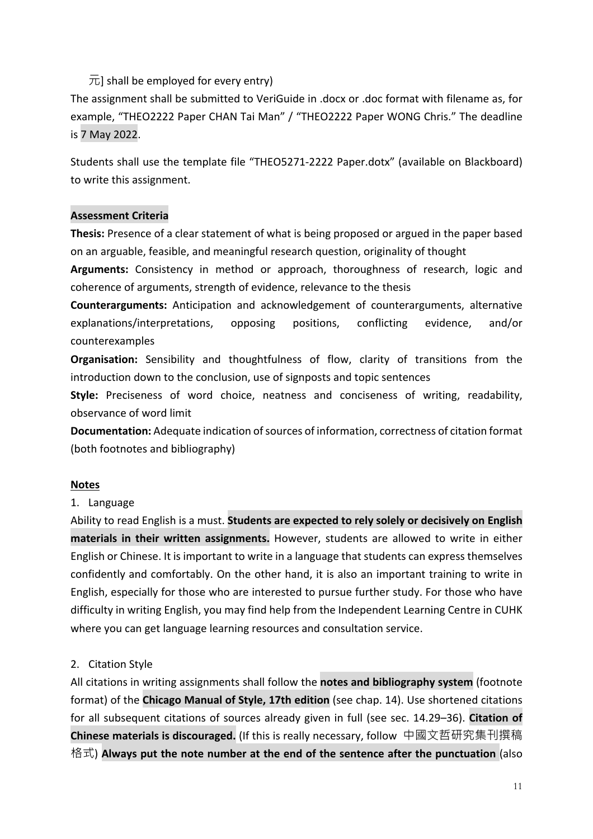# $\overline{\pi}$ ] shall be employed for every entry)

The assignment shall be submitted to VeriGuide in .docx or .doc format with filename as, for example, "THEO2222 Paper CHAN Tai Man" / "THEO2222 Paper WONG Chris." The deadline is 7 May 2022.

Students shall use the template file "THEO5271-2222 Paper.dotx" (available on Blackboard) to write this assignment.

### **Assessment Criteria**

**Thesis:** Presence of a clear statement of what is being proposed or argued in the paper based on an arguable, feasible, and meaningful research question, originality of thought

**Arguments:** Consistency in method or approach, thoroughness of research, logic and coherence of arguments, strength of evidence, relevance to the thesis

**Counterarguments:** Anticipation and acknowledgement of counterarguments, alternative explanations/interpretations, opposing positions, conflicting evidence, and/or counterexamples

**Organisation:** Sensibility and thoughtfulness of flow, clarity of transitions from the introduction down to the conclusion, use of signposts and topic sentences

**Style:** Preciseness of word choice, neatness and conciseness of writing, readability, observance of word limit

**Documentation:** Adequate indication of sources of information, correctness of citation format (both footnotes and bibliography)

### **Notes**

### 1. Language

Ability to read English is a must. **Students are expected to rely solely or decisively on English materials in their written assignments.** However, students are allowed to write in either English or Chinese. It is important to write in a language that students can express themselves confidently and comfortably. On the other hand, it is also an important training to write in English, especially for those who are interested to pursue further study. For those who have difficulty in writing English, you may find help from the Independent Learning Centre in CUHK where you can get language learning resources and consultation service.

### 2. Citation Style

All citations in writing assignments shall follow the **notes and bibliography system** (footnote format) of the **Chicago Manual of Style, 17th edition** (see chap. 14). Use shortened citations for all subsequent citations of sources already given in full (see sec. 14.29–36). **Citation of Chinese materials is discouraged.** (If this is really necessary, follow 中國文哲研究集刊撰稿 格式) **Always put the note number at the end of the sentence after the punctuation** (also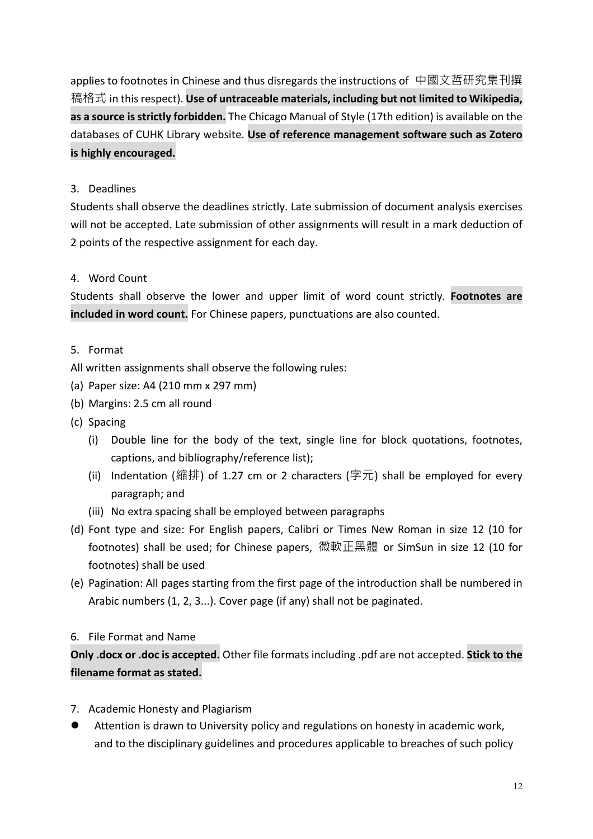applies to footnotes in Chinese and thus disregards the instructions of 中國文哲研究集刊撰 稿格式 in this respect). **Use of untraceable materials, including but not limited to Wikipedia, as a source is strictly forbidden.** The Chicago Manual of Style (17th edition) is available on the databases of CUHK Library website. **Use of reference management software such as Zotero is highly encouraged.**

# 3. Deadlines

Students shall observe the deadlines strictly. Late submission of document analysis exercises will not be accepted. Late submission of other assignments will result in a mark deduction of 2 points of the respective assignment for each day.

# 4. Word Count

Students shall observe the lower and upper limit of word count strictly. **Footnotes are included in word count.** For Chinese papers, punctuations are also counted.

### 5. Format

- All written assignments shall observe the following rules:
- (a) Paper size: A4 (210 mm x 297 mm)
- (b) Margins: 2.5 cm all round
- (c) Spacing
	- (i) Double line for the body of the text, single line for block quotations, footnotes, captions, and bibliography/reference list);
	- (ii) Indentation (縮排) of 1.27 cm or 2 characters (字元) shall be employed for every paragraph; and
	- (iii) No extra spacing shall be employed between paragraphs
- (d) Font type and size: For English papers, Calibri or Times New Roman in size 12 (10 for footnotes) shall be used; for Chinese papers, 微軟正黑體 or SimSun in size 12 (10 for footnotes) shall be used
- (e) Pagination: All pages starting from the first page of the introduction shall be numbered in Arabic numbers (1, 2, 3...). Cover page (if any) shall not be paginated.

### 6. File Format and Name

# **Only .docx or .doc is accepted.** Other file formats including .pdf are not accepted. **Stick to the filename format as stated.**

- 7. Academic Honesty and Plagiarism
- Attention is drawn to University policy and regulations on honesty in academic work, and to the disciplinary guidelines and procedures applicable to breaches of such policy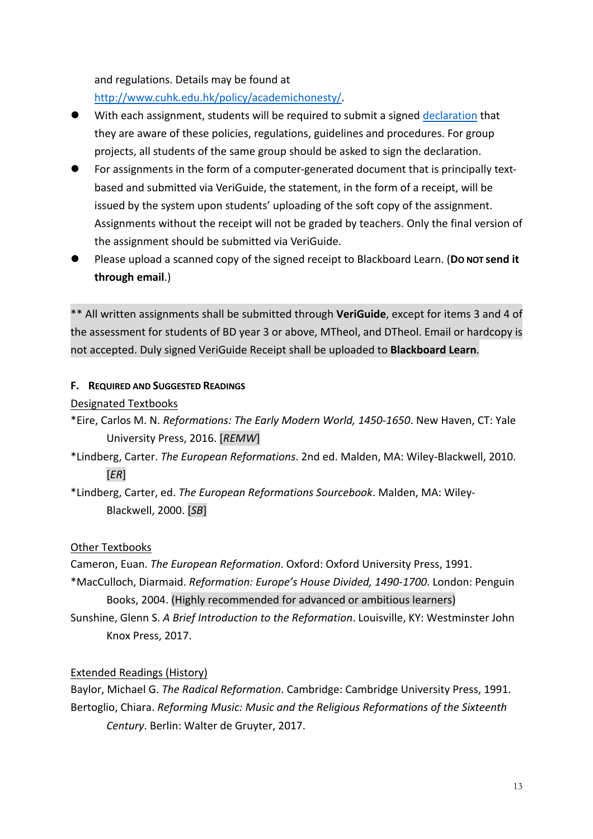and regulations. Details may be found at

http://www.cuhk.edu.hk/policy/academichonesty/.

- With each assignment, students will be required to submit a signed declaration that they are aware of these policies, regulations, guidelines and procedures. For group projects, all students of the same group should be asked to sign the declaration.
- l For assignments in the form of a computer-generated document that is principally textbased and submitted via VeriGuide, the statement, in the form of a receipt, will be issued by the system upon students' uploading of the soft copy of the assignment. Assignments without the receipt will not be graded by teachers. Only the final version of the assignment should be submitted via VeriGuide.
- l Please upload a scanned copy of the signed receipt to Blackboard Learn. (**DO NOT send it through email**.)

\*\* All written assignments shall be submitted through **VeriGuide**, except for items 3 and 4 of the assessment for students of BD year 3 or above, MTheol, and DTheol. Email or hardcopy is not accepted. Duly signed VeriGuide Receipt shall be uploaded to **Blackboard Learn**.

# **F. REQUIRED AND SUGGESTED READINGS**

Designated Textbooks

- \*Eire, Carlos M. N. *Reformations: The Early Modern World, 1450-1650*. New Haven, CT: Yale University Press, 2016. [*REMW*]
- \*Lindberg, Carter. *The European Reformations*. 2nd ed. Malden, MA: Wiley-Blackwell, 2010. [*ER*]
- \*Lindberg, Carter, ed. *The European Reformations Sourcebook*. Malden, MA: Wiley-Blackwell, 2000. [*SB*]

# Other Textbooks

Cameron, Euan. *The European Reformation*. Oxford: Oxford University Press, 1991. \*MacCulloch, Diarmaid. *Reformation: Europe's House Divided, 1490-1700*. London: Penguin Books, 2004. (Highly recommended for advanced or ambitious learners)

Sunshine, Glenn S. *A Brief Introduction to the Reformation*. Louisville, KY: Westminster John Knox Press, 2017.

# Extended Readings (History)

Baylor, Michael G. *The Radical Reformation*. Cambridge: Cambridge University Press, 1991. Bertoglio, Chiara. *Reforming Music: Music and the Religious Reformations of the Sixteenth Century*. Berlin: Walter de Gruyter, 2017.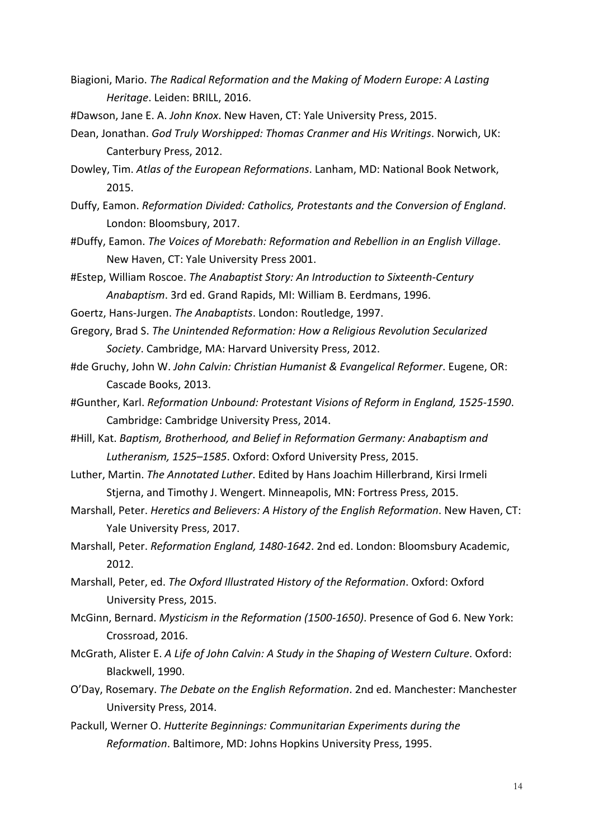- Biagioni, Mario. *The Radical Reformation and the Making of Modern Europe: A Lasting Heritage*. Leiden: BRILL, 2016.
- #Dawson, Jane E. A. *John Knox*. New Haven, CT: Yale University Press, 2015.
- Dean, Jonathan. *God Truly Worshipped: Thomas Cranmer and His Writings*. Norwich, UK: Canterbury Press, 2012.
- Dowley, Tim. *Atlas of the European Reformations*. Lanham, MD: National Book Network, 2015.
- Duffy, Eamon. *Reformation Divided: Catholics, Protestants and the Conversion of England*. London: Bloomsbury, 2017.
- #Duffy, Eamon. *The Voices of Morebath: Reformation and Rebellion in an English Village*. New Haven, CT: Yale University Press 2001.
- #Estep, William Roscoe. *The Anabaptist Story: An Introduction to Sixteenth-Century Anabaptism*. 3rd ed. Grand Rapids, MI: William B. Eerdmans, 1996.
- Goertz, Hans-Jurgen. *The Anabaptists*. London: Routledge, 1997.
- Gregory, Brad S. *The Unintended Reformation: How a Religious Revolution Secularized Society*. Cambridge, MA: Harvard University Press, 2012.
- #de Gruchy, John W. *John Calvin: Christian Humanist & Evangelical Reformer*. Eugene, OR: Cascade Books, 2013.
- #Gunther, Karl. *Reformation Unbound: Protestant Visions of Reform in England, 1525-1590*. Cambridge: Cambridge University Press, 2014.
- #Hill, Kat. *Baptism, Brotherhood, and Belief in Reformation Germany: Anabaptism and Lutheranism, 1525–1585*. Oxford: Oxford University Press, 2015.
- Luther, Martin. *The Annotated Luther*. Edited by Hans Joachim Hillerbrand, Kirsi Irmeli Stjerna, and Timothy J. Wengert. Minneapolis, MN: Fortress Press, 2015.
- Marshall, Peter. *Heretics and Believers: A History of the English Reformation*. New Haven, CT: Yale University Press, 2017.
- Marshall, Peter. *Reformation England, 1480-1642*. 2nd ed. London: Bloomsbury Academic, 2012.
- Marshall, Peter, ed. *The Oxford Illustrated History of the Reformation*. Oxford: Oxford University Press, 2015.
- McGinn, Bernard. *Mysticism in the Reformation (1500-1650)*. Presence of God 6. New York: Crossroad, 2016.
- McGrath, Alister E. *A Life of John Calvin: A Study in the Shaping of Western Culture*. Oxford: Blackwell, 1990.
- O'Day, Rosemary. *The Debate on the English Reformation*. 2nd ed. Manchester: Manchester University Press, 2014.
- Packull, Werner O. *Hutterite Beginnings: Communitarian Experiments during the Reformation*. Baltimore, MD: Johns Hopkins University Press, 1995.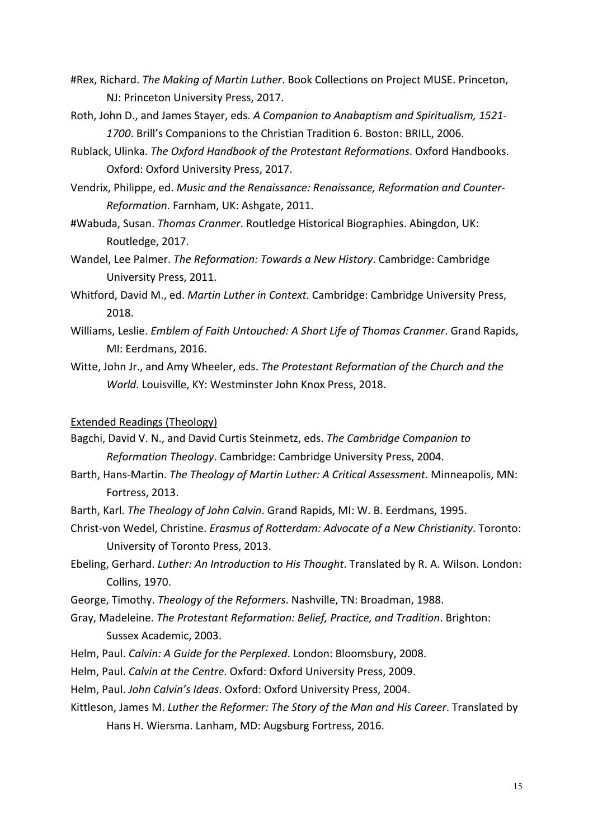- #Rex, Richard. *The Making of Martin Luther*. Book Collections on Project MUSE. Princeton, NJ: Princeton University Press, 2017.
- Roth, John D., and James Stayer, eds. *A Companion to Anabaptism and Spiritualism, 1521- 1700*. Brill's Companions to the Christian Tradition 6. Boston: BRILL, 2006.
- Rublack, Ulinka. *The Oxford Handbook of the Protestant Reformations*. Oxford Handbooks. Oxford: Oxford University Press, 2017.
- Vendrix, Philippe, ed. *Music and the Renaissance: Renaissance, Reformation and Counter-Reformation*. Farnham, UK: Ashgate, 2011.
- #Wabuda, Susan. *Thomas Cranmer*. Routledge Historical Biographies. Abingdon, UK: Routledge, 2017.
- Wandel, Lee Palmer. *The Reformation: Towards a New History*. Cambridge: Cambridge University Press, 2011.
- Whitford, David M., ed. *Martin Luther in Context*. Cambridge: Cambridge University Press, 2018.
- Williams, Leslie. *Emblem of Faith Untouched: A Short Life of Thomas Cranmer*. Grand Rapids, MI: Eerdmans, 2016.
- Witte, John Jr., and Amy Wheeler, eds. *The Protestant Reformation of the Church and the World*. Louisville, KY: Westminster John Knox Press, 2018.

#### Extended Readings (Theology)

- Bagchi, David V. N., and David Curtis Steinmetz, eds. *The Cambridge Companion to Reformation Theology*. Cambridge: Cambridge University Press, 2004.
- Barth, Hans-Martin. *The Theology of Martin Luther: A Critical Assessment*. Minneapolis, MN: Fortress, 2013.
- Barth, Karl. *The Theology of John Calvin*. Grand Rapids, MI: W. B. Eerdmans, 1995.
- Christ-von Wedel, Christine. *Erasmus of Rotterdam: Advocate of a New Christianity*. Toronto: University of Toronto Press, 2013.
- Ebeling, Gerhard. *Luther: An Introduction to His Thought*. Translated by R. A. Wilson. London: Collins, 1970.
- George, Timothy. *Theology of the Reformers*. Nashville, TN: Broadman, 1988.
- Gray, Madeleine. *The Protestant Reformation: Belief, Practice, and Tradition*. Brighton: Sussex Academic, 2003.
- Helm, Paul. *Calvin: A Guide for the Perplexed*. London: Bloomsbury, 2008.
- Helm, Paul. *Calvin at the Centre*. Oxford: Oxford University Press, 2009.
- Helm, Paul. *John Calvin's Ideas*. Oxford: Oxford University Press, 2004.
- Kittleson, James M. *Luther the Reformer: The Story of the Man and His Career*. Translated by Hans H. Wiersma. Lanham, MD: Augsburg Fortress, 2016.